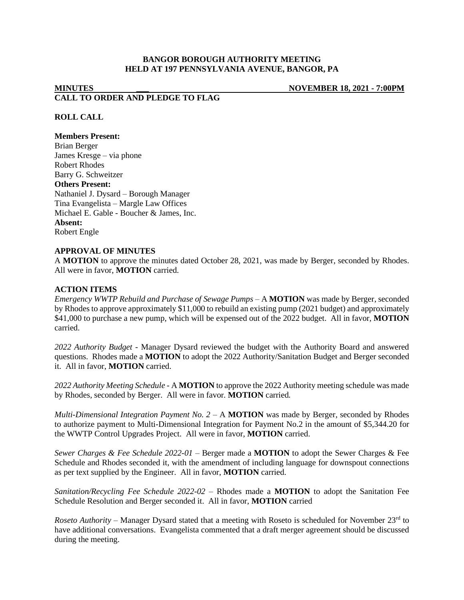# **BANGOR BOROUGH AUTHORITY MEETING HELD AT 197 PENNSYLVANIA AVENUE, BANGOR, PA**

# **MINUTES \_\_\_ NOVEMBER 18, 2021 - 7:00PM CALL TO ORDER AND PLEDGE TO FLAG**

# **ROLL CALL**

#### **Members Present:**

Brian Berger James Kresge – via phone Robert Rhodes Barry G. Schweitzer **Others Present:** Nathaniel J. Dysard – Borough Manager Tina Evangelista – Margle Law Offices Michael E. Gable - Boucher & James, Inc. **Absent:** Robert Engle

## **APPROVAL OF MINUTES**

A **MOTION** to approve the minutes dated October 28, 2021, was made by Berger, seconded by Rhodes. All were in favor, **MOTION** carried.

#### **ACTION ITEMS**

*Emergency WWTP Rebuild and Purchase of Sewage Pumps –* A **MOTION** was made by Berger, seconded by Rhodes to approve approximately \$11,000 to rebuild an existing pump (2021 budget) and approximately \$41,000 to purchase a new pump, which will be expensed out of the 2022 budget. All in favor, **MOTION**  carried.

*2022 Authority Budget -* Manager Dysard reviewed the budget with the Authority Board and answered questions. Rhodes made a **MOTION** to adopt the 2022 Authority/Sanitation Budget and Berger seconded it. All in favor, **MOTION** carried.

*2022 Authority Meeting Schedule -* A **MOTION** to approve the 2022 Authority meeting schedule was made by Rhodes, seconded by Berger. All were in favor*.* **MOTION** carried*.*

*Multi-Dimensional Integration Payment No. 2 –* A **MOTION** was made by Berger, seconded by Rhodes to authorize payment to Multi-Dimensional Integration for Payment No.2 in the amount of \$5,344.20 for the WWTP Control Upgrades Project. All were in favor, **MOTION** carried.

*Sewer Charges & Fee Schedule 2022-01 –* Berger made a **MOTION** to adopt the Sewer Charges & Fee Schedule and Rhodes seconded it, with the amendment of including language for downspout connections as per text supplied by the Engineer. All in favor, **MOTION** carried.

*Sanitation/Recycling Fee Schedule 2022-02 –* Rhodes made a **MOTION** to adopt the Sanitation Fee Schedule Resolution and Berger seconded it. All in favor, **MOTION** carried

*Roseto Authority* – Manager Dysard stated that a meeting with Roseto is scheduled for November 23<sup>rd</sup> to have additional conversations. Evangelista commented that a draft merger agreement should be discussed during the meeting.